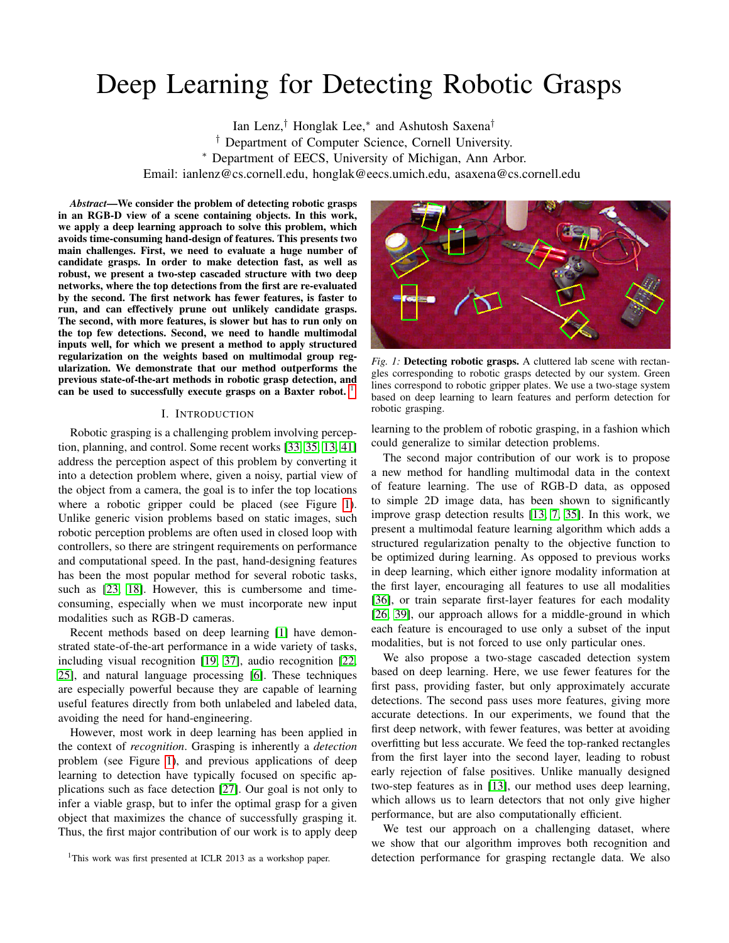# Deep Learning for Detecting Robotic Grasps

Ian Lenz,† Honglak Lee,<sup>∗</sup> and Ashutosh Saxena† † Department of Computer Science, Cornell University. <sup>∗</sup> Department of EECS, University of Michigan, Ann Arbor. Email: ianlenz@cs.cornell.edu, honglak@eecs.umich.edu, asaxena@cs.cornell.edu

*Abstract*—We consider the problem of detecting robotic grasps in an RGB-D view of a scene containing objects. In this work, we apply a deep learning approach to solve this problem, which avoids time-consuming hand-design of features. This presents two main challenges. First, we need to evaluate a huge number of candidate grasps. In order to make detection fast, as well as robust, we present a two-step cascaded structure with two deep networks, where the top detections from the first are re-evaluated by the second. The first network has fewer features, is faster to run, and can effectively prune out unlikely candidate grasps. The second, with more features, is slower but has to run only on the top few detections. Second, we need to handle multimodal inputs well, for which we present a method to apply structured regularization on the weights based on multimodal group regularization. We demonstrate that our method outperforms the previous state-of-the-art methods in robotic grasp detection, and can be used to successfully execute grasps on a Baxter robot.<sup>[1](#page-0-0)</sup>

### I. INTRODUCTION

Robotic grasping is a challenging problem involving perception, planning, and control. Some recent works [\[33,](#page-7-0) [35,](#page-7-1) [13,](#page-7-2) [41\]](#page-7-3) address the perception aspect of this problem by converting it into a detection problem where, given a noisy, partial view of the object from a camera, the goal is to infer the top locations where a robotic gripper could be placed (see Figure [1\)](#page-0-1). Unlike generic vision problems based on static images, such robotic perception problems are often used in closed loop with controllers, so there are stringent requirements on performance and computational speed. In the past, hand-designing features has been the most popular method for several robotic tasks, such as [\[23,](#page-7-4) [18\]](#page-7-5). However, this is cumbersome and timeconsuming, especially when we must incorporate new input modalities such as RGB-D cameras.

Recent methods based on deep learning [\[1\]](#page-7-6) have demonstrated state-of-the-art performance in a wide variety of tasks, including visual recognition [\[19,](#page-7-7) [37\]](#page-7-8), audio recognition [\[22,](#page-7-9) [25\]](#page-7-10), and natural language processing [\[6\]](#page-7-11). These techniques are especially powerful because they are capable of learning useful features directly from both unlabeled and labeled data, avoiding the need for hand-engineering.

However, most work in deep learning has been applied in the context of *recognition*. Grasping is inherently a *detection* problem (see Figure [1\)](#page-0-1), and previous applications of deep learning to detection have typically focused on specific applications such as face detection [\[27\]](#page-7-12). Our goal is not only to infer a viable grasp, but to infer the optimal grasp for a given object that maximizes the chance of successfully grasping it. Thus, the first major contribution of our work is to apply deep

<span id="page-0-1"></span>

*Fig. 1:* Detecting robotic grasps. A cluttered lab scene with rectangles corresponding to robotic grasps detected by our system. Green lines correspond to robotic gripper plates. We use a two-stage system based on deep learning to learn features and perform detection for robotic grasping.

learning to the problem of robotic grasping, in a fashion which could generalize to similar detection problems.

The second major contribution of our work is to propose a new method for handling multimodal data in the context of feature learning. The use of RGB-D data, as opposed to simple 2D image data, has been shown to significantly improve grasp detection results [\[13,](#page-7-2) [7,](#page-7-13) [35\]](#page-7-1). In this work, we present a multimodal feature learning algorithm which adds a structured regularization penalty to the objective function to be optimized during learning. As opposed to previous works in deep learning, which either ignore modality information at the first layer, encouraging all features to use all modalities [\[36\]](#page-7-14), or train separate first-layer features for each modality [\[26,](#page-7-15) [39\]](#page-7-16), our approach allows for a middle-ground in which each feature is encouraged to use only a subset of the input modalities, but is not forced to use only particular ones.

We also propose a two-stage cascaded detection system based on deep learning. Here, we use fewer features for the first pass, providing faster, but only approximately accurate detections. The second pass uses more features, giving more accurate detections. In our experiments, we found that the first deep network, with fewer features, was better at avoiding overfitting but less accurate. We feed the top-ranked rectangles from the first layer into the second layer, leading to robust early rejection of false positives. Unlike manually designed two-step features as in [\[13\]](#page-7-2), our method uses deep learning, which allows us to learn detectors that not only give higher performance, but are also computationally efficient.

We test our approach on a challenging dataset, where we show that our algorithm improves both recognition and detection performance for grasping rectangle data. We also

<span id="page-0-0"></span><sup>&</sup>lt;sup>1</sup>This work was first presented at ICLR 2013 as a workshop paper.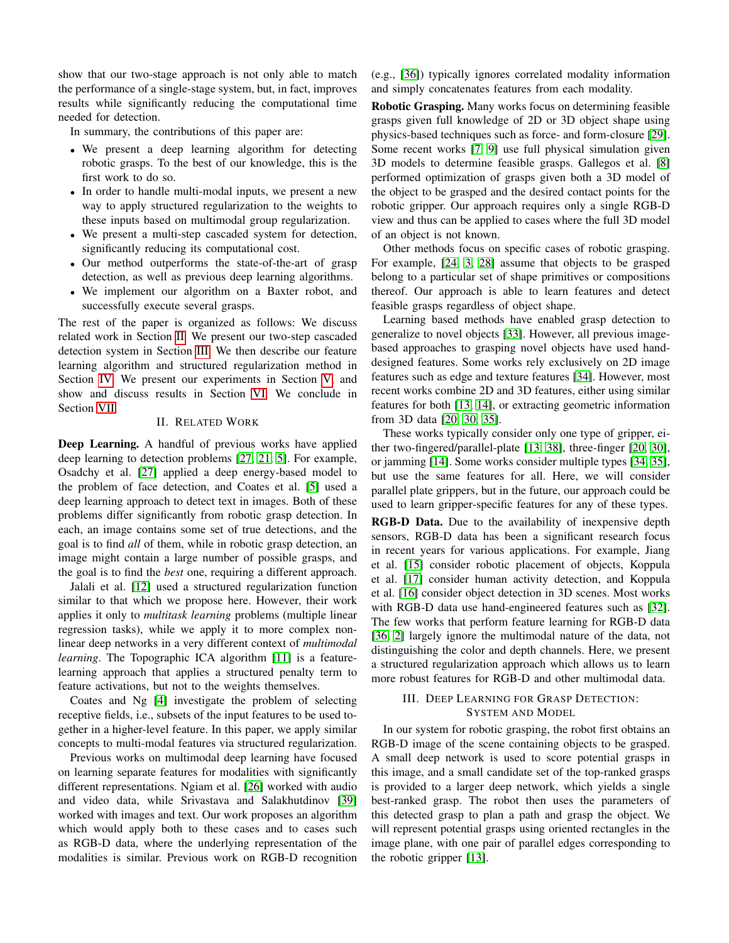show that our two-stage approach is not only able to match the performance of a single-stage system, but, in fact, improves results while significantly reducing the computational time needed for detection.

In summary, the contributions of this paper are:

- We present a deep learning algorithm for detecting robotic grasps. To the best of our knowledge, this is the first work to do so.
- In order to handle multi-modal inputs, we present a new way to apply structured regularization to the weights to these inputs based on multimodal group regularization.
- We present a multi-step cascaded system for detection, significantly reducing its computational cost.
- Our method outperforms the state-of-the-art of grasp detection, as well as previous deep learning algorithms.
- We implement our algorithm on a Baxter robot, and successfully execute several grasps.

The rest of the paper is organized as follows: We discuss related work in Section [II.](#page-1-0) We present our two-step cascaded detection system in Section [III.](#page-1-1) We then describe our feature learning algorithm and structured regularization method in Section [IV.](#page-3-0) We present our experiments in Section [V,](#page-4-0) and show and discuss results in Section [VI.](#page-5-0) We conclude in Section [VII.](#page-7-17)

## II. RELATED WORK

<span id="page-1-0"></span>Deep Learning. A handful of previous works have applied deep learning to detection problems [\[27,](#page-7-12) [21,](#page-7-18) [5\]](#page-7-19). For example, Osadchy et al. [\[27\]](#page-7-12) applied a deep energy-based model to the problem of face detection, and Coates et al. [\[5\]](#page-7-19) used a deep learning approach to detect text in images. Both of these problems differ significantly from robotic grasp detection. In each, an image contains some set of true detections, and the goal is to find *all* of them, while in robotic grasp detection, an image might contain a large number of possible grasps, and the goal is to find the *best* one, requiring a different approach.

Jalali et al. [\[12\]](#page-7-20) used a structured regularization function similar to that which we propose here. However, their work applies it only to *multitask learning* problems (multiple linear regression tasks), while we apply it to more complex nonlinear deep networks in a very different context of *multimodal learning*. The Topographic ICA algorithm [\[11\]](#page-7-21) is a featurelearning approach that applies a structured penalty term to feature activations, but not to the weights themselves.

Coates and Ng [\[4\]](#page-7-22) investigate the problem of selecting receptive fields, i.e., subsets of the input features to be used together in a higher-level feature. In this paper, we apply similar concepts to multi-modal features via structured regularization.

Previous works on multimodal deep learning have focused on learning separate features for modalities with significantly different representations. Ngiam et al. [\[26\]](#page-7-15) worked with audio and video data, while Srivastava and Salakhutdinov [\[39\]](#page-7-16) worked with images and text. Our work proposes an algorithm which would apply both to these cases and to cases such as RGB-D data, where the underlying representation of the modalities is similar. Previous work on RGB-D recognition

(e.g., [\[36\]](#page-7-14)) typically ignores correlated modality information and simply concatenates features from each modality.

Robotic Grasping. Many works focus on determining feasible grasps given full knowledge of 2D or 3D object shape using physics-based techniques such as force- and form-closure [\[29\]](#page-7-23). Some recent works [\[7,](#page-7-13) [9\]](#page-7-24) use full physical simulation given 3D models to determine feasible grasps. Gallegos et al. [\[8\]](#page-7-25) performed optimization of grasps given both a 3D model of the object to be grasped and the desired contact points for the robotic gripper. Our approach requires only a single RGB-D view and thus can be applied to cases where the full 3D model of an object is not known.

Other methods focus on specific cases of robotic grasping. For example, [\[24,](#page-7-26) [3,](#page-7-27) [28\]](#page-7-28) assume that objects to be grasped belong to a particular set of shape primitives or compositions thereof. Our approach is able to learn features and detect feasible grasps regardless of object shape.

Learning based methods have enabled grasp detection to generalize to novel objects [\[33\]](#page-7-0). However, all previous imagebased approaches to grasping novel objects have used handdesigned features. Some works rely exclusively on 2D image features such as edge and texture features [\[34\]](#page-7-29). However, most recent works combine 2D and 3D features, either using similar features for both [\[13,](#page-7-2) [14\]](#page-7-30), or extracting geometric information from 3D data [\[20,](#page-7-31) [30,](#page-7-32) [35\]](#page-7-1).

These works typically consider only one type of gripper, either two-fingered/parallel-plate [\[13,](#page-7-2) [38\]](#page-7-33), three-finger [\[20,](#page-7-31) [30\]](#page-7-32), or jamming [\[14\]](#page-7-30). Some works consider multiple types [\[34,](#page-7-29) [35\]](#page-7-1), but use the same features for all. Here, we will consider parallel plate grippers, but in the future, our approach could be used to learn gripper-specific features for any of these types.

RGB-D Data. Due to the availability of inexpensive depth sensors, RGB-D data has been a significant research focus in recent years for various applications. For example, Jiang et al. [\[15\]](#page-7-34) consider robotic placement of objects, Koppula et al. [\[17\]](#page-7-35) consider human activity detection, and Koppula et al. [\[16\]](#page-7-36) consider object detection in 3D scenes. Most works with RGB-D data use hand-engineered features such as [\[32\]](#page-7-37). The few works that perform feature learning for RGB-D data [\[36,](#page-7-14) [2\]](#page-7-38) largely ignore the multimodal nature of the data, not distinguishing the color and depth channels. Here, we present a structured regularization approach which allows us to learn more robust features for RGB-D and other multimodal data.

## <span id="page-1-1"></span>III. DEEP LEARNING FOR GRASP DETECTION: SYSTEM AND MODEL

In our system for robotic grasping, the robot first obtains an RGB-D image of the scene containing objects to be grasped. A small deep network is used to score potential grasps in this image, and a small candidate set of the top-ranked grasps is provided to a larger deep network, which yields a single best-ranked grasp. The robot then uses the parameters of this detected grasp to plan a path and grasp the object. We will represent potential grasps using oriented rectangles in the image plane, with one pair of parallel edges corresponding to the robotic gripper [\[13\]](#page-7-2).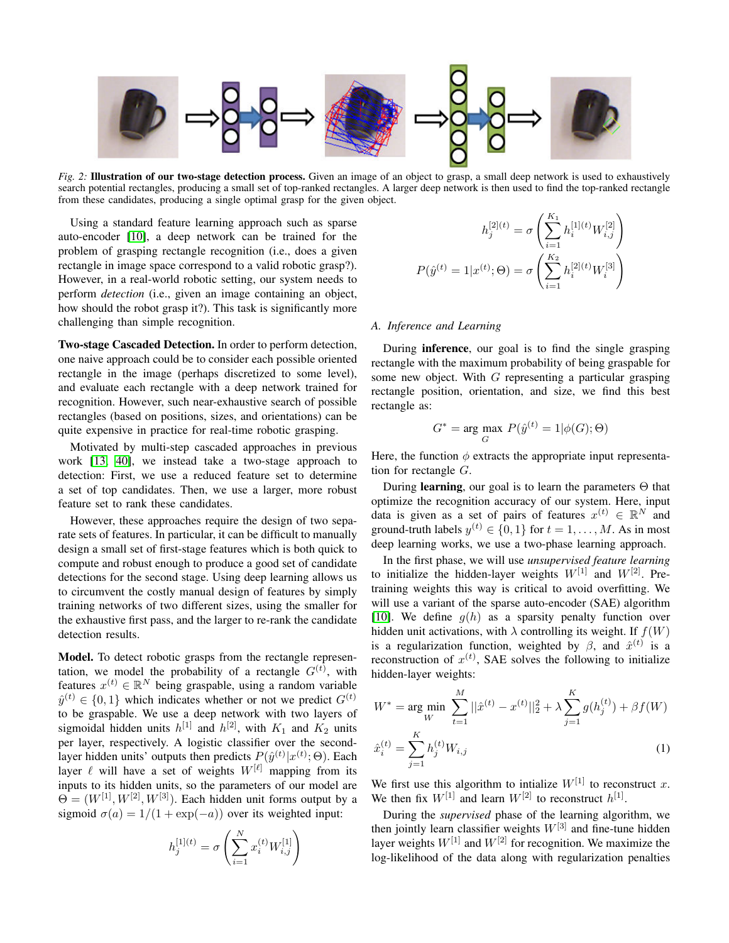

*Fig. 2:* Illustration of our two-stage detection process. Given an image of an object to grasp, a small deep network is used to exhaustively search potential rectangles, producing a small set of top-ranked rectangles. A larger deep network is then used to find the top-ranked rectangle from these candidates, producing a single optimal grasp for the given object.

Using a standard feature learning approach such as sparse auto-encoder [\[10\]](#page-7-39), a deep network can be trained for the problem of grasping rectangle recognition (i.e., does a given rectangle in image space correspond to a valid robotic grasp?). However, in a real-world robotic setting, our system needs to perform *detection* (i.e., given an image containing an object, how should the robot grasp it?). This task is significantly more challenging than simple recognition.

Two-stage Cascaded Detection. In order to perform detection, one naive approach could be to consider each possible oriented rectangle in the image (perhaps discretized to some level), and evaluate each rectangle with a deep network trained for recognition. However, such near-exhaustive search of possible rectangles (based on positions, sizes, and orientations) can be quite expensive in practice for real-time robotic grasping.

Motivated by multi-step cascaded approaches in previous work [\[13,](#page-7-2) [40\]](#page-7-40), we instead take a two-stage approach to detection: First, we use a reduced feature set to determine a set of top candidates. Then, we use a larger, more robust feature set to rank these candidates.

However, these approaches require the design of two separate sets of features. In particular, it can be difficult to manually design a small set of first-stage features which is both quick to compute and robust enough to produce a good set of candidate detections for the second stage. Using deep learning allows us to circumvent the costly manual design of features by simply training networks of two different sizes, using the smaller for the exhaustive first pass, and the larger to re-rank the candidate detection results.

Model. To detect robotic grasps from the rectangle representation, we model the probability of a rectangle  $G^{(t)}$ , with features  $x^{(t)} \in \mathbb{R}^N$  being graspable, using a random variable  $\hat{y}^{(t)} \in \{0, 1\}$  which indicates whether or not we predict  $G^{(t)}$ to be graspable. We use a deep network with two layers of sigmoidal hidden units  $h^{[1]}$  and  $h^{[2]}$ , with  $K_1$  and  $K_2$  units per layer, respectively. A logistic classifier over the secondlayer hidden units' outputs then predicts  $P(\hat{y}^{(t)} | x^{(t)}; \Theta)$ . Each layer  $\ell$  will have a set of weights  $W^{[\ell]}$  mapping from its inputs to its hidden units, so the parameters of our model are  $\Theta = (W^{[1]}, W^{[2]}, W^{[3]})$ . Each hidden unit forms output by a sigmoid  $\sigma(a) = 1/(1 + \exp(-a))$  over its weighted input:

$$
h_j^{[1](t)} = \sigma \left( \sum_{i=1}^N x_i^{(t)} W_{i,j}^{[1]} \right)
$$

$$
h_j^{[2](t)} = \sigma \left( \sum_{i=1}^{K_1} h_i^{[1](t)} W_{i,j}^{[2]} \right)
$$

$$
P(\hat{y}^{(t)} = 1 | x^{(t)}; \Theta) = \sigma \left( \sum_{i=1}^{K_2} h_i^{[2](t)} W_i^{[3]} \right)
$$

## *A. Inference and Learning*

During inference, our goal is to find the single grasping rectangle with the maximum probability of being graspable for some new object. With  $G$  representing a particular grasping rectangle position, orientation, and size, we find this best rectangle as:

$$
G^* = \underset{G}{\text{arg max}} P(\hat{y}^{(t)} = 1 | \phi(G); \Theta)
$$

Here, the function  $\phi$  extracts the appropriate input representation for rectangle G.

During **learning**, our goal is to learn the parameters  $\Theta$  that optimize the recognition accuracy of our system. Here, input data is given as a set of pairs of features  $x^{(t)} \in \mathbb{R}^N$  and ground-truth labels  $y^{(t)} \in \{0, 1\}$  for  $t = 1, ..., M$ . As in most deep learning works, we use a two-phase learning approach.

In the first phase, we will use *unsupervised feature learning* to initialize the hidden-layer weights  $W^{[1]}$  and  $W^{[2]}$ . Pretraining weights this way is critical to avoid overfitting. We will use a variant of the sparse auto-encoder (SAE) algorithm [\[10\]](#page-7-39). We define  $q(h)$  as a sparsity penalty function over hidden unit activations, with  $\lambda$  controlling its weight. If  $f(W)$ is a regularization function, weighted by  $\beta$ , and  $\hat{x}^{(t)}$  is a reconstruction of  $x^{(t)}$ , SAE solves the following to initialize hidden-layer weights:

<span id="page-2-0"></span>
$$
W^* = \underset{W}{\arg \min} \sum_{t=1}^{M} ||\hat{x}^{(t)} - x^{(t)}||_2^2 + \lambda \sum_{j=1}^{K} g(h_j^{(t)}) + \beta f(W)
$$

$$
\hat{x}_i^{(t)} = \sum_{j=1}^{K} h_j^{(t)} W_{i,j} \tag{1}
$$

We first use this algorithm to intialize  $W^{[1]}$  to reconstruct x. We then fix  $W^{[1]}$  and learn  $W^{[2]}$  to reconstruct  $h^{[1]}$ .

During the *supervised* phase of the learning algorithm, we then jointly learn classifier weights  $W^{[3]}$  and fine-tune hidden layer weights  $W^{[1]}$  and  $W^{[2]}$  for recognition. We maximize the log-likelihood of the data along with regularization penalties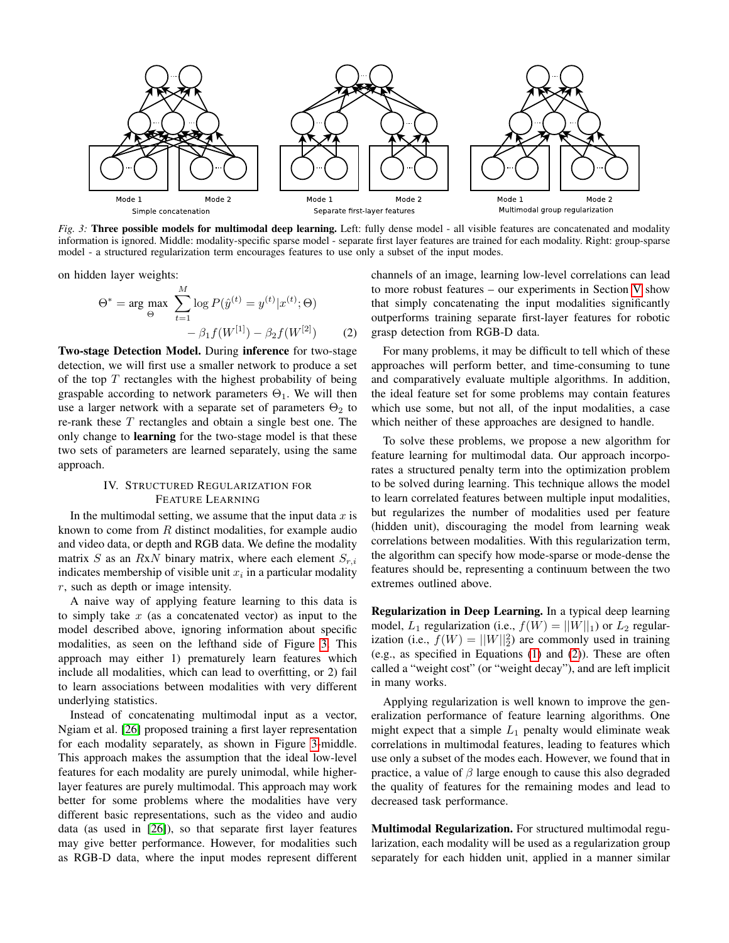<span id="page-3-1"></span>

*Fig. 3:* Three possible models for multimodal deep learning. Left: fully dense model - all visible features are concatenated and modality information is ignored. Middle: modality-specific sparse model - separate first layer features are trained for each modality. Right: group-sparse model - a structured regularization term encourages features to use only a subset of the input modes.

on hidden layer weights:

$$
\Theta^* = \arg \max_{\Theta} \sum_{t=1}^{M} \log P(\hat{y}^{(t)} = y^{(t)} | x^{(t)}; \Theta) -\beta_1 f(W^{[1]}) - \beta_2 f(W^{[2]})
$$
(2)

Two-stage Detection Model. During inference for two-stage detection, we will first use a smaller network to produce a set of the top  $T$  rectangles with the highest probability of being graspable according to network parameters  $\Theta_1$ . We will then use a larger network with a separate set of parameters  $\Theta_2$  to re-rank these  $T$  rectangles and obtain a single best one. The only change to **learning** for the two-stage model is that these two sets of parameters are learned separately, using the same approach.

## IV. STRUCTURED REGULARIZATION FOR FEATURE LEARNING

<span id="page-3-0"></span>In the multimodal setting, we assume that the input data  $x$  is known to come from  $R$  distinct modalities, for example audio and video data, or depth and RGB data. We define the modality matrix S as an RxN binary matrix, where each element  $S_{r,i}$ indicates membership of visible unit  $x_i$  in a particular modality r, such as depth or image intensity.

A naive way of applying feature learning to this data is to simply take  $x$  (as a concatenated vector) as input to the model described above, ignoring information about specific modalities, as seen on the lefthand side of Figure [3.](#page-3-1) This approach may either 1) prematurely learn features which include all modalities, which can lead to overfitting, or 2) fail to learn associations between modalities with very different underlying statistics.

Instead of concatenating multimodal input as a vector, Ngiam et al. [\[26\]](#page-7-15) proposed training a first layer representation for each modality separately, as shown in Figure [3-](#page-3-1)middle. This approach makes the assumption that the ideal low-level features for each modality are purely unimodal, while higherlayer features are purely multimodal. This approach may work better for some problems where the modalities have very different basic representations, such as the video and audio data (as used in [\[26\]](#page-7-15)), so that separate first layer features may give better performance. However, for modalities such as RGB-D data, where the input modes represent different channels of an image, learning low-level correlations can lead to more robust features – our experiments in Section [V](#page-4-0) show that simply concatenating the input modalities significantly outperforms training separate first-layer features for robotic grasp detection from RGB-D data.

<span id="page-3-2"></span>For many problems, it may be difficult to tell which of these approaches will perform better, and time-consuming to tune and comparatively evaluate multiple algorithms. In addition, the ideal feature set for some problems may contain features which use some, but not all, of the input modalities, a case which neither of these approaches are designed to handle.

To solve these problems, we propose a new algorithm for feature learning for multimodal data. Our approach incorporates a structured penalty term into the optimization problem to be solved during learning. This technique allows the model to learn correlated features between multiple input modalities, but regularizes the number of modalities used per feature (hidden unit), discouraging the model from learning weak correlations between modalities. With this regularization term, the algorithm can specify how mode-sparse or mode-dense the features should be, representing a continuum between the two extremes outlined above.

Regularization in Deep Learning. In a typical deep learning model,  $L_1$  regularization (i.e.,  $f(W) = ||W||_1$ ) or  $L_2$  regularization (i.e.,  $f(W) = ||W||_2^2$ ) are commonly used in training (e.g., as specified in Equations [\(1\)](#page-2-0) and [\(2\)](#page-3-2)). These are often called a "weight cost" (or "weight decay"), and are left implicit in many works.

Applying regularization is well known to improve the generalization performance of feature learning algorithms. One might expect that a simple  $L_1$  penalty would eliminate weak correlations in multimodal features, leading to features which use only a subset of the modes each. However, we found that in practice, a value of  $\beta$  large enough to cause this also degraded the quality of features for the remaining modes and lead to decreased task performance.

Multimodal Regularization. For structured multimodal regularization, each modality will be used as a regularization group separately for each hidden unit, applied in a manner similar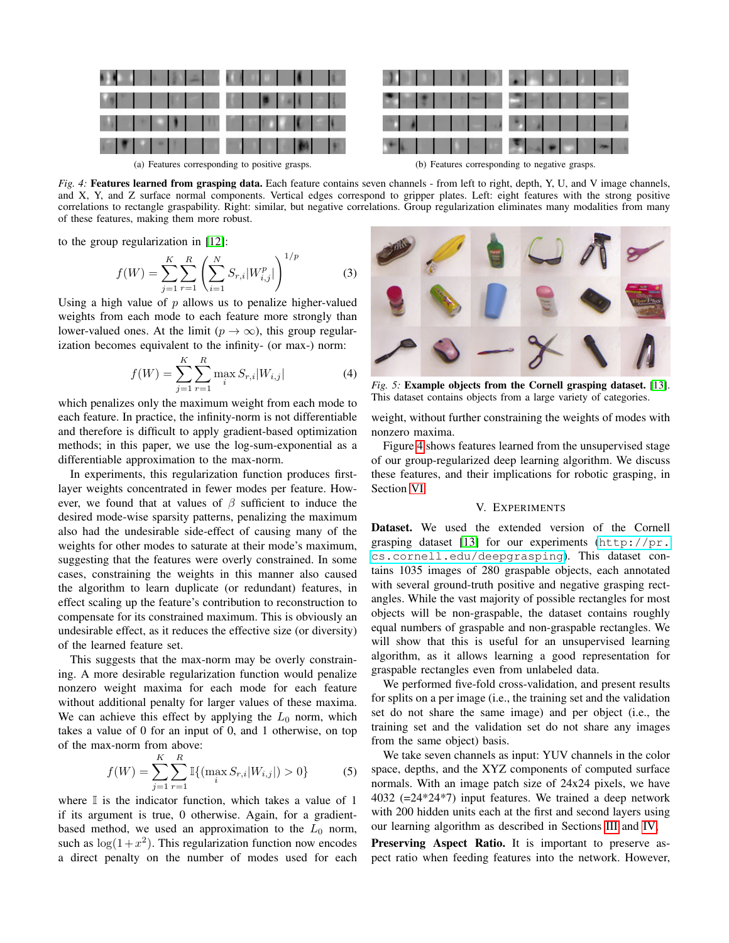<span id="page-4-1"></span>

(a) Features corresponding to positive grasps. (b) Features corresponding to negative grasps.

*Fig. 4:* Features learned from grasping data. Each feature contains seven channels - from left to right, depth, Y, U, and V image channels, and X, Y, and Z surface normal components. Vertical edges correspond to gripper plates. Left: eight features with the strong positive correlations to rectangle graspability. Right: similar, but negative correlations. Group regularization eliminates many modalities from many of these features, making them more robust.

to the group regularization in [\[12\]](#page-7-20):

$$
f(W) = \sum_{j=1}^{K} \sum_{r=1}^{R} \left( \sum_{i=1}^{N} S_{r,i} |W_{i,j}^{p}| \right)^{1/p}
$$
(3)

Using a high value of  $p$  allows us to penalize higher-valued weights from each mode to each feature more strongly than lower-valued ones. At the limit ( $p \to \infty$ ), this group regularization becomes equivalent to the infinity- (or max-) norm:

$$
f(W) = \sum_{j=1}^{K} \sum_{r=1}^{R} \max_{i} S_{r,i} |W_{i,j}|
$$
 (4)

which penalizes only the maximum weight from each mode to each feature. In practice, the infinity-norm is not differentiable and therefore is difficult to apply gradient-based optimization methods; in this paper, we use the log-sum-exponential as a differentiable approximation to the max-norm.

In experiments, this regularization function produces firstlayer weights concentrated in fewer modes per feature. However, we found that at values of  $\beta$  sufficient to induce the desired mode-wise sparsity patterns, penalizing the maximum also had the undesirable side-effect of causing many of the weights for other modes to saturate at their mode's maximum, suggesting that the features were overly constrained. In some cases, constraining the weights in this manner also caused the algorithm to learn duplicate (or redundant) features, in effect scaling up the feature's contribution to reconstruction to compensate for its constrained maximum. This is obviously an undesirable effect, as it reduces the effective size (or diversity) of the learned feature set.

This suggests that the max-norm may be overly constraining. A more desirable regularization function would penalize nonzero weight maxima for each mode for each feature without additional penalty for larger values of these maxima. We can achieve this effect by applying the  $L_0$  norm, which takes a value of 0 for an input of 0, and 1 otherwise, on top of the max-norm from above:

$$
f(W) = \sum_{j=1}^{K} \sum_{r=1}^{R} \mathbb{I}\{(\max_{i} S_{r,i} | W_{i,j}|) > 0\}
$$
 (5)

where  $\mathbb I$  is the indicator function, which takes a value of 1 if its argument is true, 0 otherwise. Again, for a gradientbased method, we used an approximation to the  $L_0$  norm, such as  $\log(1+x^2)$ . This regularization function now encodes a direct penalty on the number of modes used for each



*Fig. 5:* Example objects from the Cornell grasping dataset. [\[13\]](#page-7-2). This dataset contains objects from a large variety of categories.

weight, without further constraining the weights of modes with nonzero maxima.

Figure [4](#page-4-1) shows features learned from the unsupervised stage of our group-regularized deep learning algorithm. We discuss these features, and their implications for robotic grasping, in Section [VI.](#page-5-0)

#### V. EXPERIMENTS

<span id="page-4-0"></span>Dataset. We used the extended version of the Cornell grasping dataset [\[13\]](#page-7-2) for our experiments ([http://pr.](http://pr.cs.cornell.edu/deepgrasping) [cs.cornell.edu/deepgrasping](http://pr.cs.cornell.edu/deepgrasping)). This dataset contains 1035 images of 280 graspable objects, each annotated with several ground-truth positive and negative grasping rectangles. While the vast majority of possible rectangles for most objects will be non-graspable, the dataset contains roughly equal numbers of graspable and non-graspable rectangles. We will show that this is useful for an unsupervised learning algorithm, as it allows learning a good representation for graspable rectangles even from unlabeled data.

We performed five-fold cross-validation, and present results for splits on a per image (i.e., the training set and the validation set do not share the same image) and per object (i.e., the training set and the validation set do not share any images from the same object) basis.

We take seven channels as input: YUV channels in the color space, depths, and the XYZ components of computed surface normals. With an image patch size of 24x24 pixels, we have 4032 (=24\*24\*7) input features. We trained a deep network with 200 hidden units each at the first and second layers using our learning algorithm as described in Sections [III](#page-1-1) and [IV,](#page-3-0)

Preserving Aspect Ratio. It is important to preserve aspect ratio when feeding features into the network. However,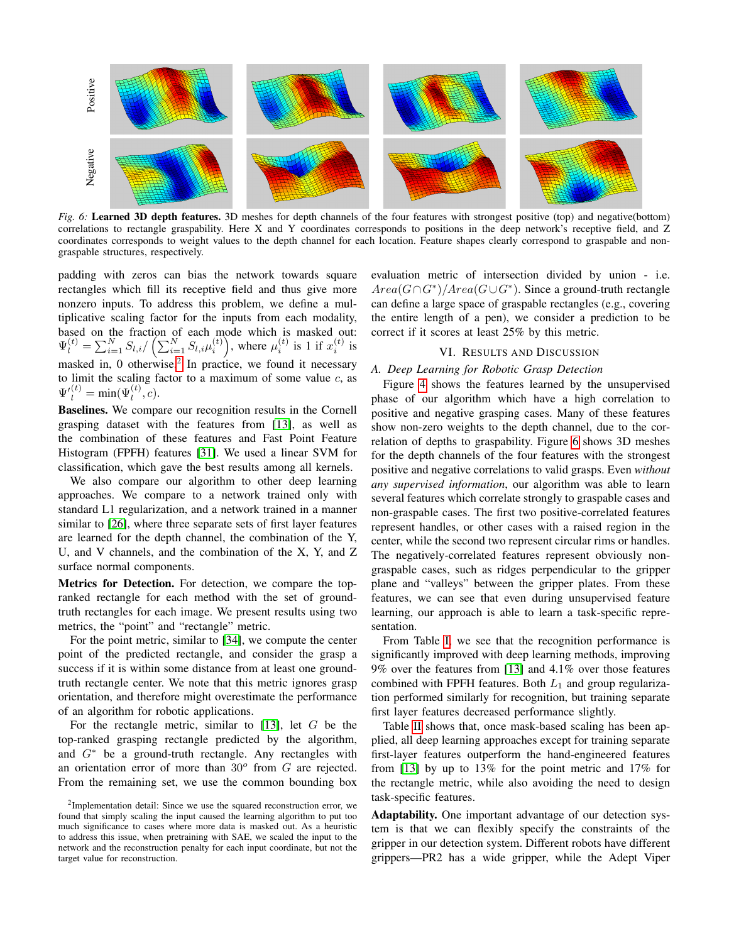<span id="page-5-2"></span>

*Fig. 6:* Learned 3D depth features. 3D meshes for depth channels of the four features with strongest positive (top) and negative(bottom) correlations to rectangle graspability. Here X and Y coordinates corresponds to positions in the deep network's receptive field, and Z coordinates corresponds to weight values to the depth channel for each location. Feature shapes clearly correspond to graspable and nongraspable structures, respectively.

padding with zeros can bias the network towards square rectangles which fill its receptive field and thus give more nonzero inputs. To address this problem, we define a multiplicative scaling factor for the inputs from each modality, based on the fraction of each mode which is masked out:  $\Psi_l^{(t)} = \sum_{i=1}^{N} S_{l,i}/\left(\sum_{i=1}^{N} S_{l,i}\mu_i^{(t)}\right)$ , where  $\mu_i^{(t)}$  is 1 if  $x_i^{(t)}$  is masked in, 0 otherwise.<sup>[2](#page-5-1)</sup> In practice, we found it necessary to limit the scaling factor to a maximum of some value  $c$ , as  $\Psi'_{l}^{(t)} = \min(\Psi_{l}^{(t)}, c).$ 

Baselines. We compare our recognition results in the Cornell grasping dataset with the features from [\[13\]](#page-7-2), as well as the combination of these features and Fast Point Feature Histogram (FPFH) features [\[31\]](#page-7-41). We used a linear SVM for classification, which gave the best results among all kernels.

We also compare our algorithm to other deep learning approaches. We compare to a network trained only with standard L1 regularization, and a network trained in a manner similar to [\[26\]](#page-7-15), where three separate sets of first layer features are learned for the depth channel, the combination of the Y, U, and V channels, and the combination of the X, Y, and Z surface normal components.

Metrics for Detection. For detection, we compare the topranked rectangle for each method with the set of groundtruth rectangles for each image. We present results using two metrics, the "point" and "rectangle" metric.

For the point metric, similar to [\[34\]](#page-7-29), we compute the center point of the predicted rectangle, and consider the grasp a success if it is within some distance from at least one groundtruth rectangle center. We note that this metric ignores grasp orientation, and therefore might overestimate the performance of an algorithm for robotic applications.

For the rectangle metric, similar to  $[13]$ , let G be the top-ranked grasping rectangle predicted by the algorithm, and  $G^*$  be a ground-truth rectangle. Any rectangles with an orientation error of more than  $30^{\circ}$  from  $G$  are rejected. From the remaining set, we use the common bounding box evaluation metric of intersection divided by union - i.e.  $Area(G \cap G^*)/Area(G \cup G^*)$ . Since a ground-truth rectangle can define a large space of graspable rectangles (e.g., covering the entire length of a pen), we consider a prediction to be correct if it scores at least 25% by this metric.

## VI. RESULTS AND DISCUSSION

### <span id="page-5-0"></span>*A. Deep Learning for Robotic Grasp Detection*

Figure [4](#page-4-1) shows the features learned by the unsupervised phase of our algorithm which have a high correlation to positive and negative grasping cases. Many of these features show non-zero weights to the depth channel, due to the correlation of depths to graspability. Figure [6](#page-5-2) shows 3D meshes for the depth channels of the four features with the strongest positive and negative correlations to valid grasps. Even *without any supervised information*, our algorithm was able to learn several features which correlate strongly to graspable cases and non-graspable cases. The first two positive-correlated features represent handles, or other cases with a raised region in the center, while the second two represent circular rims or handles. The negatively-correlated features represent obviously nongraspable cases, such as ridges perpendicular to the gripper plane and "valleys" between the gripper plates. From these features, we can see that even during unsupervised feature learning, our approach is able to learn a task-specific representation.

From Table [I,](#page-6-0) we see that the recognition performance is significantly improved with deep learning methods, improving 9% over the features from [\[13\]](#page-7-2) and 4.1% over those features combined with FPFH features. Both  $L_1$  and group regularization performed similarly for recognition, but training separate first layer features decreased performance slightly.

Table [II](#page-6-1) shows that, once mask-based scaling has been applied, all deep learning approaches except for training separate first-layer features outperform the hand-engineered features from [\[13\]](#page-7-2) by up to 13% for the point metric and 17% for the rectangle metric, while also avoiding the need to design task-specific features.

Adaptability. One important advantage of our detection system is that we can flexibly specify the constraints of the gripper in our detection system. Different robots have different grippers—PR2 has a wide gripper, while the Adept Viper

<span id="page-5-1"></span> $2$ Implementation detail: Since we use the squared reconstruction error, we found that simply scaling the input caused the learning algorithm to put too much significance to cases where more data is masked out. As a heuristic to address this issue, when pretraining with SAE, we scaled the input to the network and the reconstruction penalty for each input coordinate, but not the target value for reconstruction.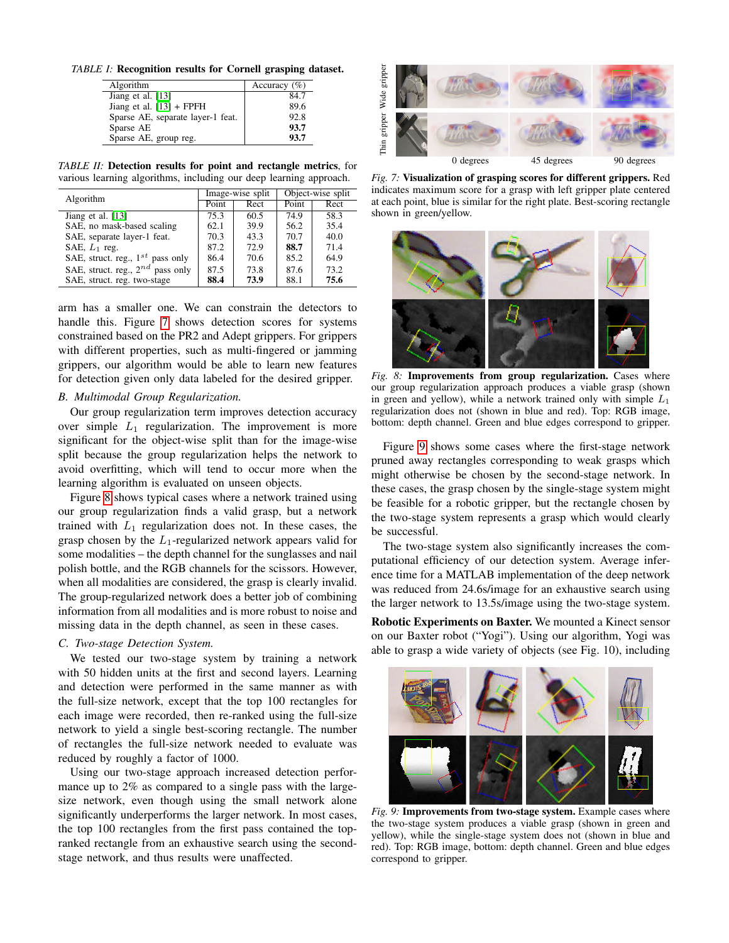<span id="page-6-0"></span>*TABLE I:* Recognition results for Cornell grasping dataset.

| Algorithm                         | Accuracy $(\% )$ |
|-----------------------------------|------------------|
| Jiang et al. [13]                 | 84.7             |
| Jiang et al. $[13]$ + FPFH        | 89.6             |
| Sparse AE, separate layer-1 feat. | 92.8             |
| Sparse AE                         | 93.7             |
| Sparse AE, group reg.             | 93.7             |

<span id="page-6-1"></span>*TABLE II:* Detection results for point and rectangle metrics, for various learning algorithms, including our deep learning approach.

| Algorithm                             | Image-wise split |      | Object-wise split |      |
|---------------------------------------|------------------|------|-------------------|------|
|                                       | Point            | Rect | Point             | Rect |
| Jiang et al. [13]                     | 75.3             | 60.5 | 74.9              | 58.3 |
| SAE, no mask-based scaling            | 62.1             | 39.9 | 56.2              | 35.4 |
| SAE, separate layer-1 feat.           | 70.3             | 43.3 | 70.7              | 40.0 |
| SAE, $L_1$ reg.                       | 87.2             | 72.9 | 88.7              | 71.4 |
| SAE, struct. reg., $1^{st}$ pass only | 86.4             | 70.6 | 85.2              | 64.9 |
| SAE, struct. reg., $2^{nd}$ pass only | 87.5             | 73.8 | 87.6              | 73.2 |
| SAE, struct. reg. two-stage           | 88.4             | 73.9 | 88.1              | 75.6 |

arm has a smaller one. We can constrain the detectors to handle this. Figure [7](#page-6-2) shows detection scores for systems constrained based on the PR2 and Adept grippers. For grippers with different properties, such as multi-fingered or jamming grippers, our algorithm would be able to learn new features for detection given only data labeled for the desired gripper.

## *B. Multimodal Group Regularization.*

Our group regularization term improves detection accuracy over simple  $L_1$  regularization. The improvement is more significant for the object-wise split than for the image-wise split because the group regularization helps the network to avoid overfitting, which will tend to occur more when the learning algorithm is evaluated on unseen objects.

Figure [8](#page-6-3) shows typical cases where a network trained using our group regularization finds a valid grasp, but a network trained with  $L_1$  regularization does not. In these cases, the grasp chosen by the  $L_1$ -regularized network appears valid for some modalities – the depth channel for the sunglasses and nail polish bottle, and the RGB channels for the scissors. However, when all modalities are considered, the grasp is clearly invalid. The group-regularized network does a better job of combining information from all modalities and is more robust to noise and missing data in the depth channel, as seen in these cases.

## *C. Two-stage Detection System.*

We tested our two-stage system by training a network with 50 hidden units at the first and second layers. Learning and detection were performed in the same manner as with the full-size network, except that the top 100 rectangles for each image were recorded, then re-ranked using the full-size network to yield a single best-scoring rectangle. The number of rectangles the full-size network needed to evaluate was reduced by roughly a factor of 1000.

Using our two-stage approach increased detection performance up to 2% as compared to a single pass with the largesize network, even though using the small network alone significantly underperforms the larger network. In most cases, the top 100 rectangles from the first pass contained the topranked rectangle from an exhaustive search using the secondstage network, and thus results were unaffected.

<span id="page-6-2"></span>

*Fig. 7:* Visualization of grasping scores for different grippers. Red indicates maximum score for a grasp with left gripper plate centered at each point, blue is similar for the right plate. Best-scoring rectangle shown in green/yellow.

<span id="page-6-3"></span>

*Fig. 8:* Improvements from group regularization. Cases where our group regularization approach produces a viable grasp (shown in green and yellow), while a network trained only with simple  $L_1$ regularization does not (shown in blue and red). Top: RGB image, bottom: depth channel. Green and blue edges correspond to gripper.

Figure [9](#page-6-4) shows some cases where the first-stage network pruned away rectangles corresponding to weak grasps which might otherwise be chosen by the second-stage network. In these cases, the grasp chosen by the single-stage system might be feasible for a robotic gripper, but the rectangle chosen by the two-stage system represents a grasp which would clearly be successful.

The two-stage system also significantly increases the computational efficiency of our detection system. Average inference time for a MATLAB implementation of the deep network was reduced from 24.6s/image for an exhaustive search using the larger network to 13.5s/image using the two-stage system.

Robotic Experiments on Baxter. We mounted a Kinect sensor on our Baxter robot ("Yogi"). Using our algorithm, Yogi was able to grasp a wide variety of objects (see Fig. 10), including

<span id="page-6-4"></span>

*Fig. 9:* Improvements from two-stage system. Example cases where the two-stage system produces a viable grasp (shown in green and yellow), while the single-stage system does not (shown in blue and red). Top: RGB image, bottom: depth channel. Green and blue edges correspond to gripper.